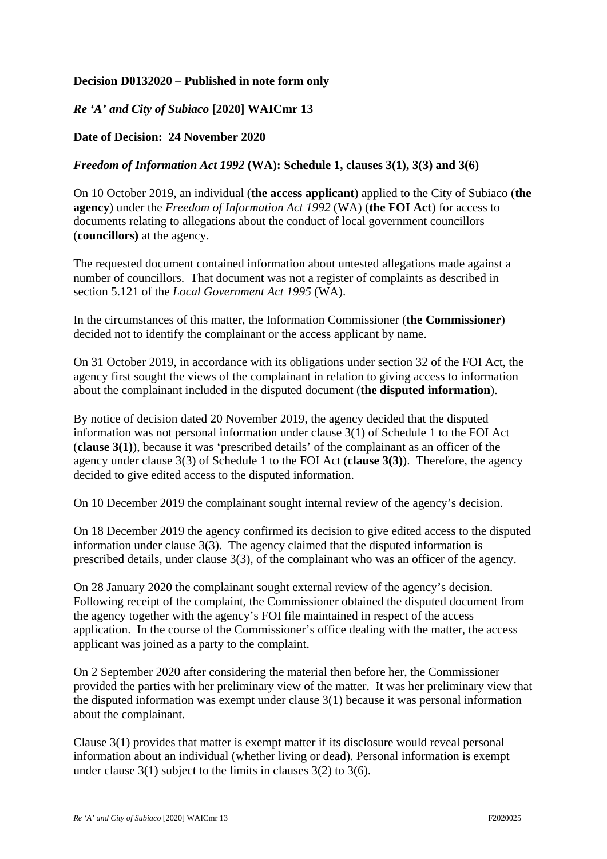## **Decision D0132020 – Published in note form only**

## *Re 'A' and City of Subiaco* **[2020] WAICmr 13**

## **Date of Decision: 24 November 2020**

## *Freedom of Information Act 1992* **(WA): Schedule 1, clauses 3(1), 3(3) and 3(6)**

On 10 October 2019, an individual (**the access applicant**) applied to the City of Subiaco (**the agency**) under the *Freedom of Information Act 1992* (WA) (**the FOI Act**) for access to documents relating to allegations about the conduct of local government councillors (**councillors)** at the agency.

The requested document contained information about untested allegations made against a number of councillors. That document was not a register of complaints as described in section 5.121 of the *Local Government Act 1995* (WA).

In the circumstances of this matter, the Information Commissioner (**the Commissioner**) decided not to identify the complainant or the access applicant by name.

On 31 October 2019, in accordance with its obligations under section 32 of the FOI Act, the agency first sought the views of the complainant in relation to giving access to information about the complainant included in the disputed document (**the disputed information**).

By notice of decision dated 20 November 2019, the agency decided that the disputed information was not personal information under clause 3(1) of Schedule 1 to the FOI Act (**clause 3(1)**), because it was 'prescribed details' of the complainant as an officer of the agency under clause 3(3) of Schedule 1 to the FOI Act (**clause 3(3)**). Therefore, the agency decided to give edited access to the disputed information.

On 10 December 2019 the complainant sought internal review of the agency's decision.

On 18 December 2019 the agency confirmed its decision to give edited access to the disputed information under clause 3(3). The agency claimed that the disputed information is prescribed details, under clause 3(3), of the complainant who was an officer of the agency.

On 28 January 2020 the complainant sought external review of the agency's decision. Following receipt of the complaint, the Commissioner obtained the disputed document from the agency together with the agency's FOI file maintained in respect of the access application. In the course of the Commissioner's office dealing with the matter, the access applicant was joined as a party to the complaint.

On 2 September 2020 after considering the material then before her, the Commissioner provided the parties with her preliminary view of the matter. It was her preliminary view that the disputed information was exempt under clause 3(1) because it was personal information about the complainant.

Clause 3(1) provides that matter is exempt matter if its disclosure would reveal personal information about an individual (whether living or dead). Personal information is exempt under clause 3(1) subject to the limits in clauses 3(2) to 3(6).